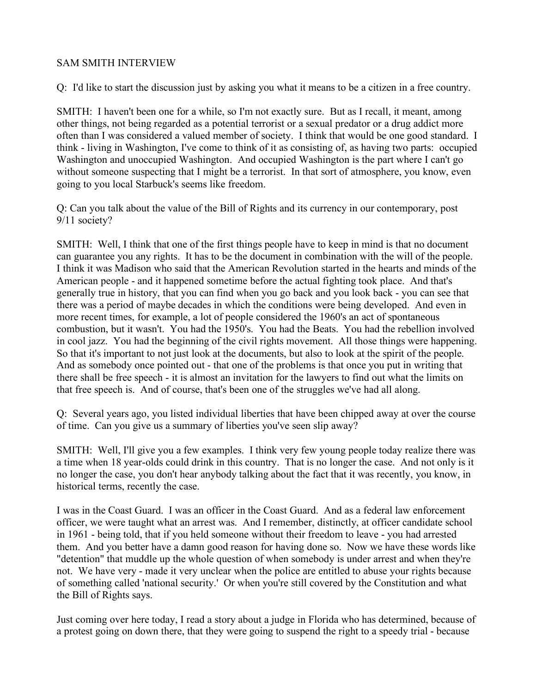## SAM SMITH INTERVIEW

Q: I'd like to start the discussion just by asking you what it means to be a citizen in a free country.

SMITH: I haven't been one for a while, so I'm not exactly sure. But as I recall, it meant, among other things, not being regarded as a potential terrorist or a sexual predator or a drug addict more often than I was considered a valued member of society. I think that would be one good standard. I think - living in Washington, I've come to think of it as consisting of, as having two parts: occupied Washington and unoccupied Washington. And occupied Washington is the part where I can't go without someone suspecting that I might be a terrorist. In that sort of atmosphere, you know, even going to you local Starbuck's seems like freedom.

Q: Can you talk about the value of the Bill of Rights and its currency in our contemporary, post 9/11 society?

SMITH: Well, I think that one of the first things people have to keep in mind is that no document can guarantee you any rights. It has to be the document in combination with the will of the people. I think it was Madison who said that the American Revolution started in the hearts and minds of the American people - and it happened sometime before the actual fighting took place. And that's generally true in history, that you can find when you go back and you look back - you can see that there was a period of maybe decades in which the conditions were being developed. And even in more recent times, for example, a lot of people considered the 1960's an act of spontaneous combustion, but it wasn't. You had the 1950's. You had the Beats. You had the rebellion involved in cool jazz. You had the beginning of the civil rights movement. All those things were happening. So that it's important to not just look at the documents, but also to look at the spirit of the people. And as somebody once pointed out - that one of the problems is that once you put in writing that there shall be free speech - it is almost an invitation for the lawyers to find out what the limits on that free speech is. And of course, that's been one of the struggles we've had all along.

Q: Several years ago, you listed individual liberties that have been chipped away at over the course of time. Can you give us a summary of liberties you've seen slip away?

SMITH: Well, I'll give you a few examples. I think very few young people today realize there was a time when 18 year-olds could drink in this country. That is no longer the case. And not only is it no longer the case, you don't hear anybody talking about the fact that it was recently, you know, in historical terms, recently the case.

I was in the Coast Guard. I was an officer in the Coast Guard. And as a federal law enforcement officer, we were taught what an arrest was. And I remember, distinctly, at officer candidate school in 1961 - being told, that if you held someone without their freedom to leave - you had arrested them. And you better have a damn good reason for having done so. Now we have these words like "detention" that muddle up the whole question of when somebody is under arrest and when they're not. We have very - made it very unclear when the police are entitled to abuse your rights because of something called 'national security.' Or when you're still covered by the Constitution and what the Bill of Rights says.

Just coming over here today, I read a story about a judge in Florida who has determined, because of a protest going on down there, that they were going to suspend the right to a speedy trial - because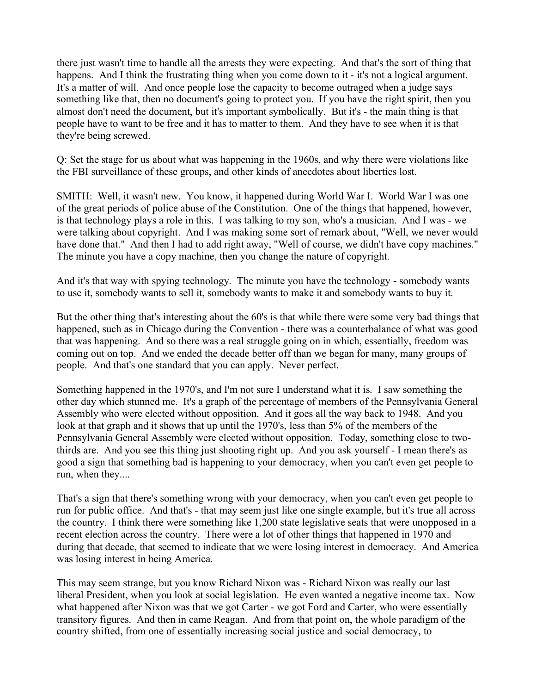there just wasn't time to handle all the arrests they were expecting. And that's the sort of thing that happens. And I think the frustrating thing when you come down to it - it's not a logical argument. It's a matter of will. And once people lose the capacity to become outraged when a judge says something like that, then no document's going to protect you. If you have the right spirit, then you almost don't need the document, but it's important symbolically. But it's - the main thing is that people have to want to be free and it has to matter to them. And they have to see when it is that they're being screwed.

Q: Set the stage for us about what was happening in the 1960s, and why there were violations like the FBI surveillance of these groups, and other kinds of anecdotes about liberties lost.

SMITH: Well, it wasn't new. You know, it happened during World War I. World War I was one of the great periods of police abuse of the Constitution. One of the things that happened, however, is that technology plays a role in this. I was talking to my son, who's a musician. And I was - we were talking about copyright. And I was making some sort of remark about, "Well, we never would have done that." And then I had to add right away, "Well of course, we didn't have copy machines." The minute you have a copy machine, then you change the nature of copyright.

And it's that way with spying technology. The minute you have the technology - somebody wants to use it, somebody wants to sell it, somebody wants to make it and somebody wants to buy it.

But the other thing that's interesting about the 60's is that while there were some very bad things that happened, such as in Chicago during the Convention - there was a counterbalance of what was good that was happening. And so there was a real struggle going on in which, essentially, freedom was coming out on top. And we ended the decade better off than we began for many, many groups of people. And that's one standard that you can apply. Never perfect.

Something happened in the 1970's, and I'm not sure I understand what it is. I saw something the other day which stunned me. It's a graph of the percentage of members of the Pennsylvania General Assembly who were elected without opposition. And it goes all the way back to 1948. And you look at that graph and it shows that up until the 1970's, less than 5% of the members of the Pennsylvania General Assembly were elected without opposition. Today, something close to twothirds are. And you see this thing just shooting right up. And you ask yourself - I mean there's as good a sign that something bad is happening to your democracy, when you can't even get people to run, when they....

That's a sign that there's something wrong with your democracy, when you can't even get people to run for public office. And that's - that may seem just like one single example, but it's true all across the country. I think there were something like 1,200 state legislative seats that were unopposed in a recent election across the country. There were a lot of other things that happened in 1970 and during that decade, that seemed to indicate that we were losing interest in democracy. And America was losing interest in being America.

This may seem strange, but you know Richard Nixon was - Richard Nixon was really our last liberal President, when you look at social legislation. He even wanted a negative income tax. Now what happened after Nixon was that we got Carter - we got Ford and Carter, who were essentially transitory figures. And then in came Reagan. And from that point on, the whole paradigm of the country shifted, from one of essentially increasing social justice and social democracy, to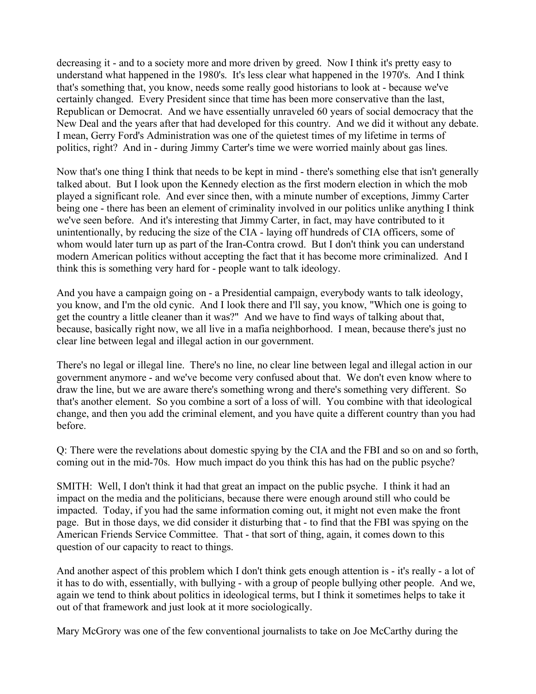decreasing it - and to a society more and more driven by greed. Now I think it's pretty easy to understand what happened in the 1980's. It's less clear what happened in the 1970's. And I think that's something that, you know, needs some really good historians to look at - because we've certainly changed. Every President since that time has been more conservative than the last, Republican or Democrat. And we have essentially unraveled 60 years of social democracy that the New Deal and the years after that had developed for this country. And we did it without any debate. I mean, Gerry Ford's Administration was one of the quietest times of my lifetime in terms of politics, right? And in - during Jimmy Carter's time we were worried mainly about gas lines.

Now that's one thing I think that needs to be kept in mind - there's something else that isn't generally talked about. But I look upon the Kennedy election as the first modern election in which the mob played a significant role. And ever since then, with a minute number of exceptions, Jimmy Carter being one - there has been an element of criminality involved in our politics unlike anything I think we've seen before. And it's interesting that Jimmy Carter, in fact, may have contributed to it unintentionally, by reducing the size of the CIA - laying off hundreds of CIA officers, some of whom would later turn up as part of the Iran-Contra crowd. But I don't think you can understand modern American politics without accepting the fact that it has become more criminalized. And I think this is something very hard for - people want to talk ideology.

And you have a campaign going on - a Presidential campaign, everybody wants to talk ideology, you know, and I'm the old cynic. And I look there and I'll say, you know, "Which one is going to get the country a little cleaner than it was?" And we have to find ways of talking about that, because, basically right now, we all live in a mafia neighborhood. I mean, because there's just no clear line between legal and illegal action in our government.

There's no legal or illegal line. There's no line, no clear line between legal and illegal action in our government anymore - and we've become very confused about that. We don't even know where to draw the line, but we are aware there's something wrong and there's something very different. So that's another element. So you combine a sort of a loss of will. You combine with that ideological change, and then you add the criminal element, and you have quite a different country than you had before.

Q: There were the revelations about domestic spying by the CIA and the FBI and so on and so forth, coming out in the mid-70s. How much impact do you think this has had on the public psyche?

SMITH: Well, I don't think it had that great an impact on the public psyche. I think it had an impact on the media and the politicians, because there were enough around still who could be impacted. Today, if you had the same information coming out, it might not even make the front page. But in those days, we did consider it disturbing that - to find that the FBI was spying on the American Friends Service Committee. That - that sort of thing, again, it comes down to this question of our capacity to react to things.

And another aspect of this problem which I don't think gets enough attention is - it's really - a lot of it has to do with, essentially, with bullying - with a group of people bullying other people. And we, again we tend to think about politics in ideological terms, but I think it sometimes helps to take it out of that framework and just look at it more sociologically.

Mary McGrory was one of the few conventional journalists to take on Joe McCarthy during the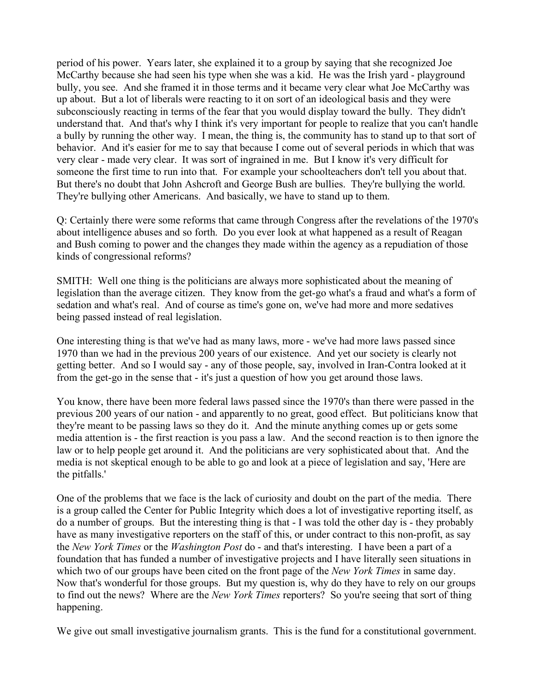period of his power. Years later, she explained it to a group by saying that she recognized Joe McCarthy because she had seen his type when she was a kid. He was the Irish yard - playground bully, you see. And she framed it in those terms and it became very clear what Joe McCarthy was up about. But a lot of liberals were reacting to it on sort of an ideological basis and they were subconsciously reacting in terms of the fear that you would display toward the bully. They didn't understand that. And that's why I think it's very important for people to realize that you can't handle a bully by running the other way. I mean, the thing is, the community has to stand up to that sort of behavior. And it's easier for me to say that because I come out of several periods in which that was very clear - made very clear. It was sort of ingrained in me. But I know it's very difficult for someone the first time to run into that. For example your schoolteachers don't tell you about that. But there's no doubt that John Ashcroft and George Bush are bullies. They're bullying the world. They're bullying other Americans. And basically, we have to stand up to them.

Q: Certainly there were some reforms that came through Congress after the revelations of the 1970's about intelligence abuses and so forth. Do you ever look at what happened as a result of Reagan and Bush coming to power and the changes they made within the agency as a repudiation of those kinds of congressional reforms?

SMITH: Well one thing is the politicians are always more sophisticated about the meaning of legislation than the average citizen. They know from the get-go what's a fraud and what's a form of sedation and what's real. And of course as time's gone on, we've had more and more sedatives being passed instead of real legislation.

One interesting thing is that we've had as many laws, more - we've had more laws passed since 1970 than we had in the previous 200 years of our existence. And yet our society is clearly not getting better. And so I would say - any of those people, say, involved in Iran-Contra looked at it from the get-go in the sense that - it's just a question of how you get around those laws.

You know, there have been more federal laws passed since the 1970's than there were passed in the previous 200 years of our nation - and apparently to no great, good effect. But politicians know that they're meant to be passing laws so they do it. And the minute anything comes up or gets some media attention is - the first reaction is you pass a law. And the second reaction is to then ignore the law or to help people get around it. And the politicians are very sophisticated about that. And the media is not skeptical enough to be able to go and look at a piece of legislation and say, 'Here are the pitfalls.'

One of the problems that we face is the lack of curiosity and doubt on the part of the media. There is a group called the Center for Public Integrity which does a lot of investigative reporting itself, as do a number of groups. But the interesting thing is that - I was told the other day is - they probably have as many investigative reporters on the staff of this, or under contract to this non-profit, as say the *New York Times* or the *Washington Post* do - and that's interesting. I have been a part of a foundation that has funded a number of investigative projects and I have literally seen situations in which two of our groups have been cited on the front page of the *New York Times* in same day. Now that's wonderful for those groups. But my question is, why do they have to rely on our groups to find out the news? Where are the *New York Times* reporters? So you're seeing that sort of thing happening.

We give out small investigative journalism grants. This is the fund for a constitutional government.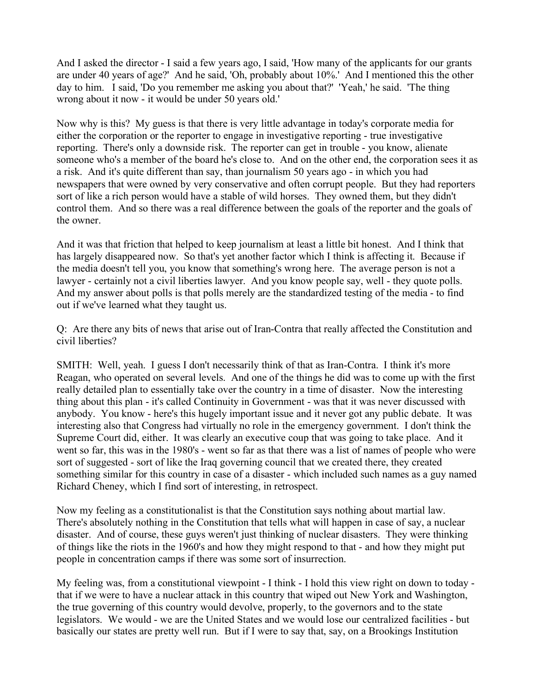And I asked the director - I said a few years ago, I said, 'How many of the applicants for our grants are under 40 years of age?' And he said, 'Oh, probably about 10%.' And I mentioned this the other day to him. I said, 'Do you remember me asking you about that?' 'Yeah,' he said. 'The thing wrong about it now - it would be under 50 years old.'

Now why is this? My guess is that there is very little advantage in today's corporate media for either the corporation or the reporter to engage in investigative reporting - true investigative reporting. There's only a downside risk. The reporter can get in trouble - you know, alienate someone who's a member of the board he's close to. And on the other end, the corporation sees it as a risk. And it's quite different than say, than journalism 50 years ago - in which you had newspapers that were owned by very conservative and often corrupt people. But they had reporters sort of like a rich person would have a stable of wild horses. They owned them, but they didn't control them. And so there was a real difference between the goals of the reporter and the goals of the owner.

And it was that friction that helped to keep journalism at least a little bit honest. And I think that has largely disappeared now. So that's yet another factor which I think is affecting it. Because if the media doesn't tell you, you know that something's wrong here. The average person is not a lawyer - certainly not a civil liberties lawyer. And you know people say, well - they quote polls. And my answer about polls is that polls merely are the standardized testing of the media - to find out if we've learned what they taught us.

Q: Are there any bits of news that arise out of Iran-Contra that really affected the Constitution and civil liberties?

SMITH: Well, yeah. I guess I don't necessarily think of that as Iran-Contra. I think it's more Reagan, who operated on several levels. And one of the things he did was to come up with the first really detailed plan to essentially take over the country in a time of disaster. Now the interesting thing about this plan - it's called Continuity in Government - was that it was never discussed with anybody. You know - here's this hugely important issue and it never got any public debate. It was interesting also that Congress had virtually no role in the emergency government. I don't think the Supreme Court did, either. It was clearly an executive coup that was going to take place. And it went so far, this was in the 1980's - went so far as that there was a list of names of people who were sort of suggested - sort of like the Iraq governing council that we created there, they created something similar for this country in case of a disaster - which included such names as a guy named Richard Cheney, which I find sort of interesting, in retrospect.

Now my feeling as a constitutionalist is that the Constitution says nothing about martial law. There's absolutely nothing in the Constitution that tells what will happen in case of say, a nuclear disaster. And of course, these guys weren't just thinking of nuclear disasters. They were thinking of things like the riots in the 1960's and how they might respond to that - and how they might put people in concentration camps if there was some sort of insurrection.

My feeling was, from a constitutional viewpoint - I think - I hold this view right on down to today that if we were to have a nuclear attack in this country that wiped out New York and Washington, the true governing of this country would devolve, properly, to the governors and to the state legislators. We would - we are the United States and we would lose our centralized facilities - but basically our states are pretty well run. But if I were to say that, say, on a Brookings Institution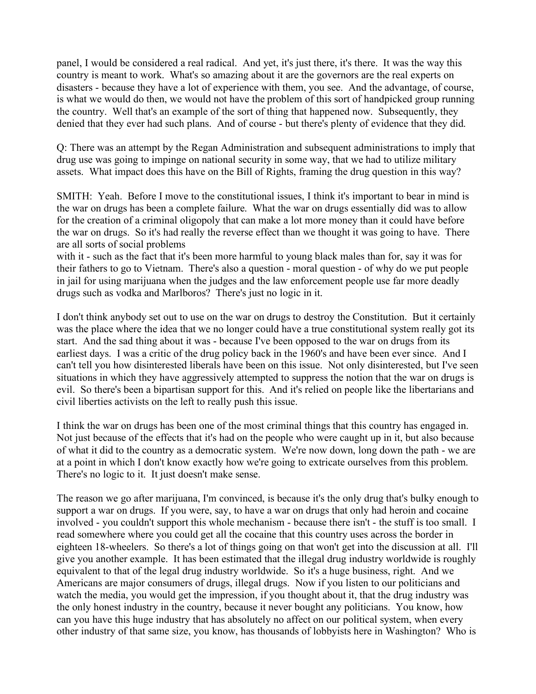panel, I would be considered a real radical. And yet, it's just there, it's there. It was the way this country is meant to work. What's so amazing about it are the governors are the real experts on disasters - because they have a lot of experience with them, you see. And the advantage, of course, is what we would do then, we would not have the problem of this sort of handpicked group running the country. Well that's an example of the sort of thing that happened now. Subsequently, they denied that they ever had such plans. And of course - but there's plenty of evidence that they did.

Q: There was an attempt by the Regan Administration and subsequent administrations to imply that drug use was going to impinge on national security in some way, that we had to utilize military assets. What impact does this have on the Bill of Rights, framing the drug question in this way?

SMITH: Yeah. Before I move to the constitutional issues, I think it's important to bear in mind is the war on drugs has been a complete failure. What the war on drugs essentially did was to allow for the creation of a criminal oligopoly that can make a lot more money than it could have before the war on drugs. So it's had really the reverse effect than we thought it was going to have. There are all sorts of social problems

with it - such as the fact that it's been more harmful to young black males than for, say it was for their fathers to go to Vietnam. There's also a question - moral question - of why do we put people in jail for using marijuana when the judges and the law enforcement people use far more deadly drugs such as vodka and Marlboros? There's just no logic in it.

I don't think anybody set out to use on the war on drugs to destroy the Constitution. But it certainly was the place where the idea that we no longer could have a true constitutional system really got its start. And the sad thing about it was - because I've been opposed to the war on drugs from its earliest days. I was a critic of the drug policy back in the 1960's and have been ever since. And I can't tell you how disinterested liberals have been on this issue. Not only disinterested, but I've seen situations in which they have aggressively attempted to suppress the notion that the war on drugs is evil. So there's been a bipartisan support for this. And it's relied on people like the libertarians and civil liberties activists on the left to really push this issue.

I think the war on drugs has been one of the most criminal things that this country has engaged in. Not just because of the effects that it's had on the people who were caught up in it, but also because of what it did to the country as a democratic system. We're now down, long down the path - we are at a point in which I don't know exactly how we're going to extricate ourselves from this problem. There's no logic to it. It just doesn't make sense.

The reason we go after marijuana, I'm convinced, is because it's the only drug that's bulky enough to support a war on drugs. If you were, say, to have a war on drugs that only had heroin and cocaine involved - you couldn't support this whole mechanism - because there isn't - the stuff is too small. I read somewhere where you could get all the cocaine that this country uses across the border in eighteen 18-wheelers. So there's a lot of things going on that won't get into the discussion at all. I'll give you another example. It has been estimated that the illegal drug industry worldwide is roughly equivalent to that of the legal drug industry worldwide. So it's a huge business, right. And we Americans are major consumers of drugs, illegal drugs. Now if you listen to our politicians and watch the media, you would get the impression, if you thought about it, that the drug industry was the only honest industry in the country, because it never bought any politicians. You know, how can you have this huge industry that has absolutely no affect on our political system, when every other industry of that same size, you know, has thousands of lobbyists here in Washington? Who is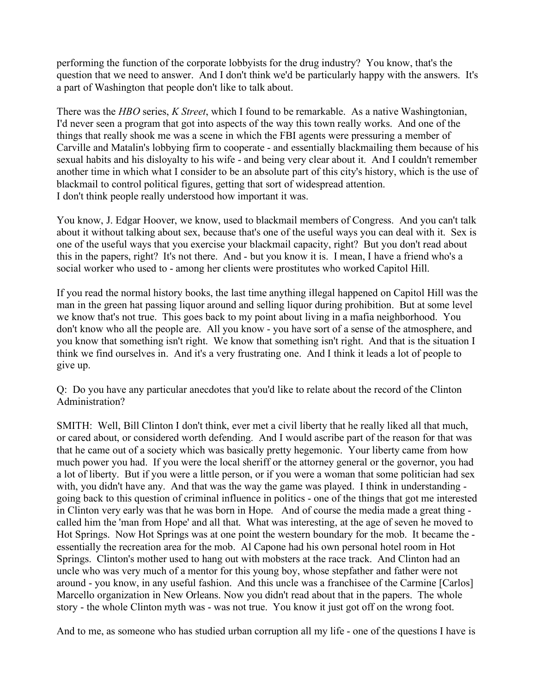performing the function of the corporate lobbyists for the drug industry? You know, that's the question that we need to answer. And I don't think we'd be particularly happy with the answers. It's a part of Washington that people don't like to talk about.

There was the *HBO* series, *K Street*, which I found to be remarkable. As a native Washingtonian, I'd never seen a program that got into aspects of the way this town really works. And one of the things that really shook me was a scene in which the FBI agents were pressuring a member of Carville and Matalin's lobbying firm to cooperate - and essentially blackmailing them because of his sexual habits and his disloyalty to his wife - and being very clear about it. And I couldn't remember another time in which what I consider to be an absolute part of this city's history, which is the use of blackmail to control political figures, getting that sort of widespread attention. I don't think people really understood how important it was.

You know, J. Edgar Hoover, we know, used to blackmail members of Congress. And you can't talk about it without talking about sex, because that's one of the useful ways you can deal with it. Sex is one of the useful ways that you exercise your blackmail capacity, right? But you don't read about this in the papers, right? It's not there. And - but you know it is. I mean, I have a friend who's a social worker who used to - among her clients were prostitutes who worked Capitol Hill.

If you read the normal history books, the last time anything illegal happened on Capitol Hill was the man in the green hat passing liquor around and selling liquor during prohibition. But at some level we know that's not true. This goes back to my point about living in a mafia neighborhood. You don't know who all the people are. All you know - you have sort of a sense of the atmosphere, and you know that something isn't right. We know that something isn't right. And that is the situation I think we find ourselves in. And it's a very frustrating one. And I think it leads a lot of people to give up.

Q: Do you have any particular anecdotes that you'd like to relate about the record of the Clinton Administration?

SMITH: Well, Bill Clinton I don't think, ever met a civil liberty that he really liked all that much, or cared about, or considered worth defending. And I would ascribe part of the reason for that was that he came out of a society which was basically pretty hegemonic. Your liberty came from how much power you had. If you were the local sheriff or the attorney general or the governor, you had a lot of liberty. But if you were a little person, or if you were a woman that some politician had sex with, you didn't have any. And that was the way the game was played. I think in understanding going back to this question of criminal influence in politics - one of the things that got me interested in Clinton very early was that he was born in Hope. And of course the media made a great thing called him the 'man from Hope' and all that. What was interesting, at the age of seven he moved to Hot Springs. Now Hot Springs was at one point the western boundary for the mob. It became the essentially the recreation area for the mob. Al Capone had his own personal hotel room in Hot Springs. Clinton's mother used to hang out with mobsters at the race track. And Clinton had an uncle who was very much of a mentor for this young boy, whose stepfather and father were not around - you know, in any useful fashion. And this uncle was a franchisee of the Carmine [Carlos] Marcello organization in New Orleans. Now you didn't read about that in the papers. The whole story - the whole Clinton myth was - was not true. You know it just got off on the wrong foot.

And to me, as someone who has studied urban corruption all my life - one of the questions I have is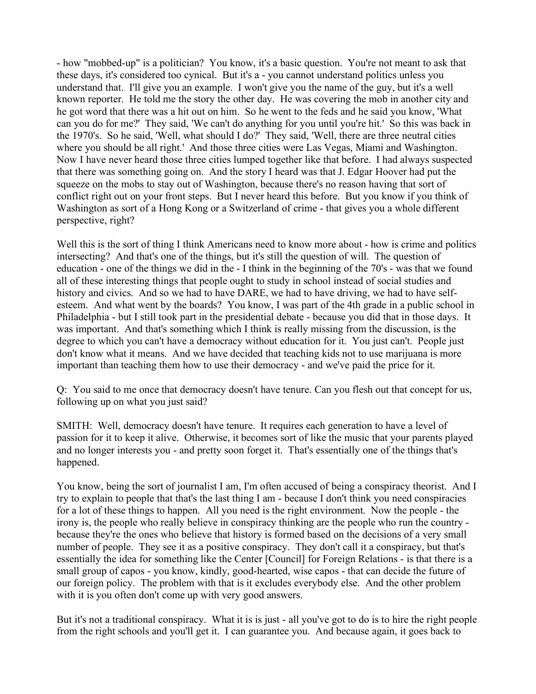- how "mobbed-up" is a politician? You know, it's a basic question. You're not meant to ask that these days, it's considered too cynical. But it's a - you cannot understand politics unless you understand that. I'll give you an example. I won't give you the name of the guy, but it's a well known reporter. He told me the story the other day. He was covering the mob in another city and he got word that there was a hit out on him. So he went to the feds and he said you know, 'What can you do for me?' They said, 'We can't do anything for you until you're hit.' So this was back in the 1970's. So he said, 'Well, what should I do?' They said, 'Well, there are three neutral cities where you should be all right.' And those three cities were Las Vegas, Miami and Washington. Now I have never heard those three cities lumped together like that before. I had always suspected that there was something going on. And the story I heard was that J. Edgar Hoover had put the squeeze on the mobs to stay out of Washington, because there's no reason having that sort of conflict right out on your front steps. But I never heard this before. But you know if you think of Washington as sort of a Hong Kong or a Switzerland of crime - that gives you a whole different perspective, right?

Well this is the sort of thing I think Americans need to know more about - how is crime and politics intersecting? And that's one of the things, but it's still the question of will. The question of education - one of the things we did in the - I think in the beginning of the 70's - was that we found all of these interesting things that people ought to study in school instead of social studies and history and civics. And so we had to have DARE, we had to have driving, we had to have selfesteem. And what went by the boards? You know, I was part of the 4th grade in a public school in Philadelphia - but I still took part in the presidential debate - because you did that in those days. It was important. And that's something which I think is really missing from the discussion, is the degree to which you can't have a democracy without education for it. You just can't. People just don't know what it means. And we have decided that teaching kids not to use marijuana is more important than teaching them how to use their democracy - and we've paid the price for it.

Q: You said to me once that democracy doesn't have tenure. Can you flesh out that concept for us, following up on what you just said?

SMITH: Well, democracy doesn't have tenure. It requires each generation to have a level of passion for it to keep it alive. Otherwise, it becomes sort of like the music that your parents played and no longer interests you - and pretty soon forget it. That's essentially one of the things that's happened.

You know, being the sort of journalist I am, I'm often accused of being a conspiracy theorist. And I try to explain to people that that's the last thing I am - because I don't think you need conspiracies for a lot of these things to happen. All you need is the right environment. Now the people - the irony is, the people who really believe in conspiracy thinking are the people who run the country because they're the ones who believe that history is formed based on the decisions of a very small number of people. They see it as a positive conspiracy. They don't call it a conspiracy, but that's essentially the idea for something like the Center [Council] for Foreign Relations - is that there is a small group of capos - you know, kindly, good-hearted, wise capos - that can decide the future of our foreign policy. The problem with that is it excludes everybody else. And the other problem with it is you often don't come up with very good answers.

But it's not a traditional conspiracy. What it is is just - all you've got to do is to hire the right people from the right schools and you'll get it. I can guarantee you. And because again, it goes back to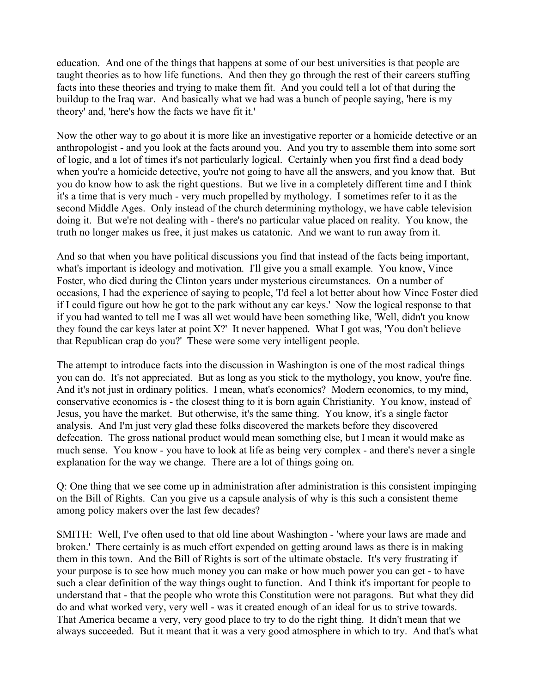education. And one of the things that happens at some of our best universities is that people are taught theories as to how life functions. And then they go through the rest of their careers stuffing facts into these theories and trying to make them fit. And you could tell a lot of that during the buildup to the Iraq war. And basically what we had was a bunch of people saying, 'here is my theory' and, 'here's how the facts we have fit it.'

Now the other way to go about it is more like an investigative reporter or a homicide detective or an anthropologist - and you look at the facts around you. And you try to assemble them into some sort of logic, and a lot of times it's not particularly logical. Certainly when you first find a dead body when you're a homicide detective, you're not going to have all the answers, and you know that. But you do know how to ask the right questions. But we live in a completely different time and I think it's a time that is very much - very much propelled by mythology. I sometimes refer to it as the second Middle Ages. Only instead of the church determining mythology, we have cable television doing it. But we're not dealing with - there's no particular value placed on reality. You know, the truth no longer makes us free, it just makes us catatonic. And we want to run away from it.

And so that when you have political discussions you find that instead of the facts being important, what's important is ideology and motivation. I'll give you a small example. You know, Vince Foster, who died during the Clinton years under mysterious circumstances. On a number of occasions, I had the experience of saying to people, 'I'd feel a lot better about how Vince Foster died if I could figure out how he got to the park without any car keys.' Now the logical response to that if you had wanted to tell me I was all wet would have been something like, 'Well, didn't you know they found the car keys later at point X?' It never happened. What I got was, 'You don't believe that Republican crap do you?' These were some very intelligent people.

The attempt to introduce facts into the discussion in Washington is one of the most radical things you can do. It's not appreciated. But as long as you stick to the mythology, you know, you're fine. And it's not just in ordinary politics. I mean, what's economics? Modern economics, to my mind, conservative economics is - the closest thing to it is born again Christianity. You know, instead of Jesus, you have the market. But otherwise, it's the same thing. You know, it's a single factor analysis. And I'm just very glad these folks discovered the markets before they discovered defecation. The gross national product would mean something else, but I mean it would make as much sense. You know - you have to look at life as being very complex - and there's never a single explanation for the way we change. There are a lot of things going on.

Q: One thing that we see come up in administration after administration is this consistent impinging on the Bill of Rights. Can you give us a capsule analysis of why is this such a consistent theme among policy makers over the last few decades?

SMITH: Well, I've often used to that old line about Washington - 'where your laws are made and broken.' There certainly is as much effort expended on getting around laws as there is in making them in this town. And the Bill of Rights is sort of the ultimate obstacle. It's very frustrating if your purpose is to see how much money you can make or how much power you can get - to have such a clear definition of the way things ought to function. And I think it's important for people to understand that - that the people who wrote this Constitution were not paragons. But what they did do and what worked very, very well - was it created enough of an ideal for us to strive towards. That America became a very, very good place to try to do the right thing. It didn't mean that we always succeeded. But it meant that it was a very good atmosphere in which to try. And that's what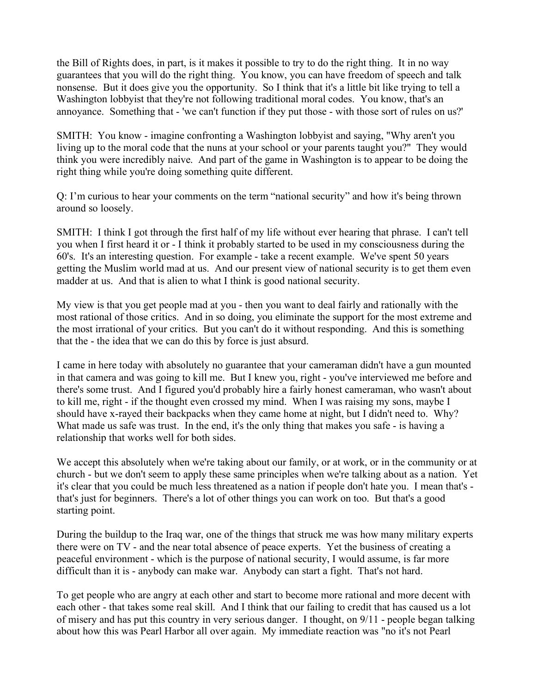the Bill of Rights does, in part, is it makes it possible to try to do the right thing. It in no way guarantees that you will do the right thing. You know, you can have freedom of speech and talk nonsense. But it does give you the opportunity. So I think that it's a little bit like trying to tell a Washington lobbyist that they're not following traditional moral codes. You know, that's an annoyance. Something that - 'we can't function if they put those - with those sort of rules on us?'

SMITH: You know - imagine confronting a Washington lobbyist and saying, "Why aren't you living up to the moral code that the nuns at your school or your parents taught you?" They would think you were incredibly naive. And part of the game in Washington is to appear to be doing the right thing while you're doing something quite different.

Q: I'm curious to hear your comments on the term "national security" and how it's being thrown around so loosely.

SMITH: I think I got through the first half of my life without ever hearing that phrase. I can't tell you when I first heard it or - I think it probably started to be used in my consciousness during the 60's. It's an interesting question. For example - take a recent example. We've spent 50 years getting the Muslim world mad at us. And our present view of national security is to get them even madder at us. And that is alien to what I think is good national security.

My view is that you get people mad at you - then you want to deal fairly and rationally with the most rational of those critics. And in so doing, you eliminate the support for the most extreme and the most irrational of your critics. But you can't do it without responding. And this is something that the - the idea that we can do this by force is just absurd.

I came in here today with absolutely no guarantee that your cameraman didn't have a gun mounted in that camera and was going to kill me. But I knew you, right - you've interviewed me before and there's some trust. And I figured you'd probably hire a fairly honest cameraman, who wasn't about to kill me, right - if the thought even crossed my mind. When I was raising my sons, maybe I should have x-rayed their backpacks when they came home at night, but I didn't need to. Why? What made us safe was trust. In the end, it's the only thing that makes you safe - is having a relationship that works well for both sides.

We accept this absolutely when we're taking about our family, or at work, or in the community or at church - but we don't seem to apply these same principles when we're talking about as a nation. Yet it's clear that you could be much less threatened as a nation if people don't hate you. I mean that's that's just for beginners. There's a lot of other things you can work on too. But that's a good starting point.

During the buildup to the Iraq war, one of the things that struck me was how many military experts there were on TV - and the near total absence of peace experts. Yet the business of creating a peaceful environment - which is the purpose of national security, I would assume, is far more difficult than it is - anybody can make war. Anybody can start a fight. That's not hard.

To get people who are angry at each other and start to become more rational and more decent with each other - that takes some real skill. And I think that our failing to credit that has caused us a lot of misery and has put this country in very serious danger. I thought, on 9/11 - people began talking about how this was Pearl Harbor all over again. My immediate reaction was "no it's not Pearl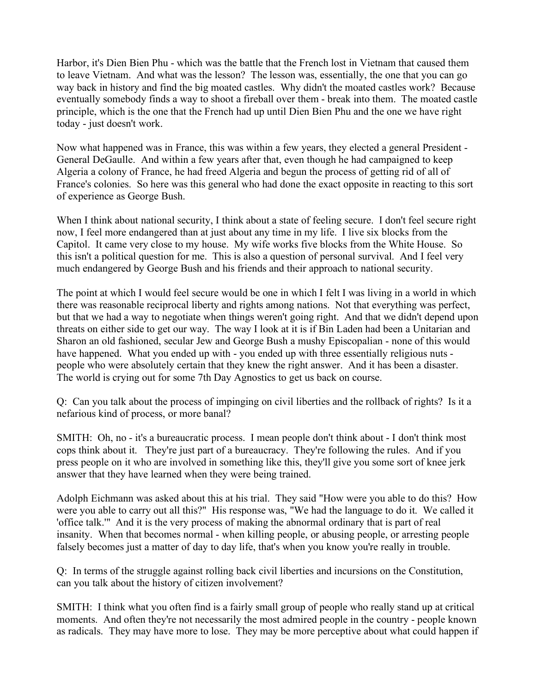Harbor, it's Dien Bien Phu - which was the battle that the French lost in Vietnam that caused them to leave Vietnam. And what was the lesson? The lesson was, essentially, the one that you can go way back in history and find the big moated castles. Why didn't the moated castles work? Because eventually somebody finds a way to shoot a fireball over them - break into them. The moated castle principle, which is the one that the French had up until Dien Bien Phu and the one we have right today - just doesn't work.

Now what happened was in France, this was within a few years, they elected a general President - General DeGaulle. And within a few years after that, even though he had campaigned to keep Algeria a colony of France, he had freed Algeria and begun the process of getting rid of all of France's colonies. So here was this general who had done the exact opposite in reacting to this sort of experience as George Bush.

When I think about national security, I think about a state of feeling secure. I don't feel secure right now, I feel more endangered than at just about any time in my life. I live six blocks from the Capitol. It came very close to my house. My wife works five blocks from the White House. So this isn't a political question for me. This is also a question of personal survival. And I feel very much endangered by George Bush and his friends and their approach to national security.

The point at which I would feel secure would be one in which I felt I was living in a world in which there was reasonable reciprocal liberty and rights among nations. Not that everything was perfect, but that we had a way to negotiate when things weren't going right. And that we didn't depend upon threats on either side to get our way. The way I look at it is if Bin Laden had been a Unitarian and Sharon an old fashioned, secular Jew and George Bush a mushy Episcopalian - none of this would have happened. What you ended up with - you ended up with three essentially religious nuts people who were absolutely certain that they knew the right answer. And it has been a disaster. The world is crying out for some 7th Day Agnostics to get us back on course.

Q: Can you talk about the process of impinging on civil liberties and the rollback of rights? Is it a nefarious kind of process, or more banal?

SMITH: Oh, no - it's a bureaucratic process. I mean people don't think about - I don't think most cops think about it. They're just part of a bureaucracy. They're following the rules. And if you press people on it who are involved in something like this, they'll give you some sort of knee jerk answer that they have learned when they were being trained.

Adolph Eichmann was asked about this at his trial. They said "How were you able to do this? How were you able to carry out all this?" His response was, "We had the language to do it. We called it 'office talk.'" And it is the very process of making the abnormal ordinary that is part of real insanity. When that becomes normal - when killing people, or abusing people, or arresting people falsely becomes just a matter of day to day life, that's when you know you're really in trouble.

Q: In terms of the struggle against rolling back civil liberties and incursions on the Constitution, can you talk about the history of citizen involvement?

SMITH: I think what you often find is a fairly small group of people who really stand up at critical moments. And often they're not necessarily the most admired people in the country - people known as radicals. They may have more to lose. They may be more perceptive about what could happen if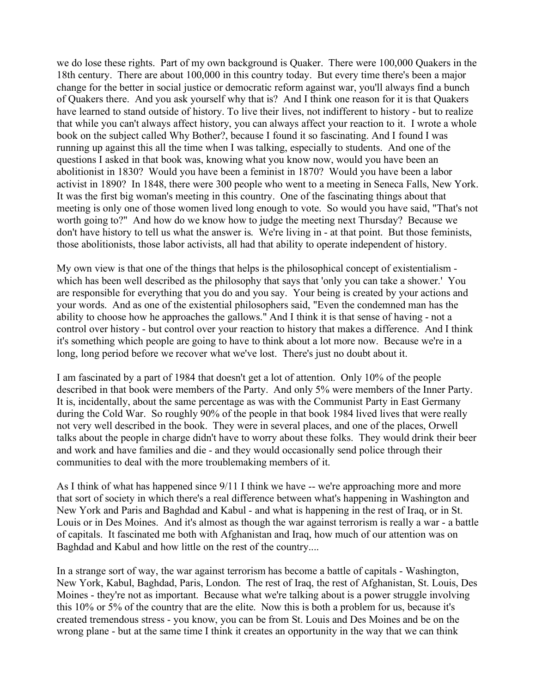we do lose these rights. Part of my own background is Quaker. There were 100,000 Quakers in the 18th century. There are about 100,000 in this country today. But every time there's been a major change for the better in social justice or democratic reform against war, you'll always find a bunch of Quakers there. And you ask yourself why that is? And I think one reason for it is that Quakers have learned to stand outside of history. To live their lives, not indifferent to history - but to realize that while you can't always affect history, you can always affect your reaction to it. I wrote a whole book on the subject called Why Bother?, because I found it so fascinating. And I found I was running up against this all the time when I was talking, especially to students. And one of the questions I asked in that book was, knowing what you know now, would you have been an abolitionist in 1830? Would you have been a feminist in 1870? Would you have been a labor activist in 1890? In 1848, there were 300 people who went to a meeting in Seneca Falls, New York. It was the first big woman's meeting in this country. One of the fascinating things about that meeting is only one of those women lived long enough to vote. So would you have said, "That's not worth going to?" And how do we know how to judge the meeting next Thursday? Because we don't have history to tell us what the answer is. We're living in - at that point. But those feminists, those abolitionists, those labor activists, all had that ability to operate independent of history.

My own view is that one of the things that helps is the philosophical concept of existentialism which has been well described as the philosophy that says that 'only you can take a shower.' You are responsible for everything that you do and you say. Your being is created by your actions and your words. And as one of the existential philosophers said, "Even the condemned man has the ability to choose how he approaches the gallows." And I think it is that sense of having - not a control over history - but control over your reaction to history that makes a difference. And I think it's something which people are going to have to think about a lot more now. Because we're in a long, long period before we recover what we've lost. There's just no doubt about it.

I am fascinated by a part of 1984 that doesn't get a lot of attention. Only 10% of the people described in that book were members of the Party. And only 5% were members of the Inner Party. It is, incidentally, about the same percentage as was with the Communist Party in East Germany during the Cold War. So roughly 90% of the people in that book 1984 lived lives that were really not very well described in the book. They were in several places, and one of the places, Orwell talks about the people in charge didn't have to worry about these folks. They would drink their beer and work and have families and die - and they would occasionally send police through their communities to deal with the more troublemaking members of it.

As I think of what has happened since 9/11 I think we have -- we're approaching more and more that sort of society in which there's a real difference between what's happening in Washington and New York and Paris and Baghdad and Kabul - and what is happening in the rest of Iraq, or in St. Louis or in Des Moines. And it's almost as though the war against terrorism is really a war - a battle of capitals. It fascinated me both with Afghanistan and Iraq, how much of our attention was on Baghdad and Kabul and how little on the rest of the country....

In a strange sort of way, the war against terrorism has become a battle of capitals - Washington, New York, Kabul, Baghdad, Paris, London. The rest of Iraq, the rest of Afghanistan, St. Louis, Des Moines - they're not as important. Because what we're talking about is a power struggle involving this 10% or 5% of the country that are the elite. Now this is both a problem for us, because it's created tremendous stress - you know, you can be from St. Louis and Des Moines and be on the wrong plane - but at the same time I think it creates an opportunity in the way that we can think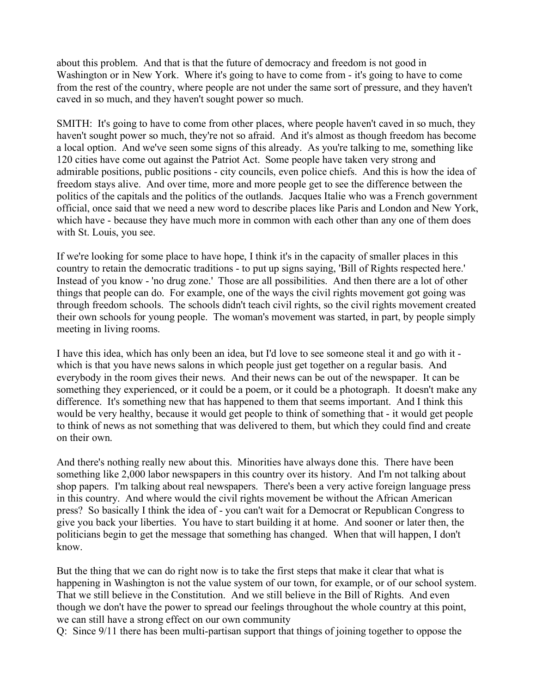about this problem. And that is that the future of democracy and freedom is not good in Washington or in New York. Where it's going to have to come from - it's going to have to come from the rest of the country, where people are not under the same sort of pressure, and they haven't caved in so much, and they haven't sought power so much.

SMITH: It's going to have to come from other places, where people haven't caved in so much, they haven't sought power so much, they're not so afraid. And it's almost as though freedom has become a local option. And we've seen some signs of this already. As you're talking to me, something like 120 cities have come out against the Patriot Act. Some people have taken very strong and admirable positions, public positions - city councils, even police chiefs. And this is how the idea of freedom stays alive. And over time, more and more people get to see the difference between the politics of the capitals and the politics of the outlands. Jacques Italie who was a French government official, once said that we need a new word to describe places like Paris and London and New York, which have - because they have much more in common with each other than any one of them does with St. Louis, you see.

If we're looking for some place to have hope, I think it's in the capacity of smaller places in this country to retain the democratic traditions - to put up signs saying, 'Bill of Rights respected here.' Instead of you know - 'no drug zone.' Those are all possibilities. And then there are a lot of other things that people can do. For example, one of the ways the civil rights movement got going was through freedom schools. The schools didn't teach civil rights, so the civil rights movement created their own schools for young people. The woman's movement was started, in part, by people simply meeting in living rooms.

I have this idea, which has only been an idea, but I'd love to see someone steal it and go with it which is that you have news salons in which people just get together on a regular basis. And everybody in the room gives their news. And their news can be out of the newspaper. It can be something they experienced, or it could be a poem, or it could be a photograph. It doesn't make any difference. It's something new that has happened to them that seems important. And I think this would be very healthy, because it would get people to think of something that - it would get people to think of news as not something that was delivered to them, but which they could find and create on their own.

And there's nothing really new about this. Minorities have always done this. There have been something like 2,000 labor newspapers in this country over its history. And I'm not talking about shop papers. I'm talking about real newspapers. There's been a very active foreign language press in this country. And where would the civil rights movement be without the African American press? So basically I think the idea of - you can't wait for a Democrat or Republican Congress to give you back your liberties. You have to start building it at home. And sooner or later then, the politicians begin to get the message that something has changed. When that will happen, I don't know.

But the thing that we can do right now is to take the first steps that make it clear that what is happening in Washington is not the value system of our town, for example, or of our school system. That we still believe in the Constitution. And we still believe in the Bill of Rights. And even though we don't have the power to spread our feelings throughout the whole country at this point, we can still have a strong effect on our own community

Q: Since 9/11 there has been multi-partisan support that things of joining together to oppose the